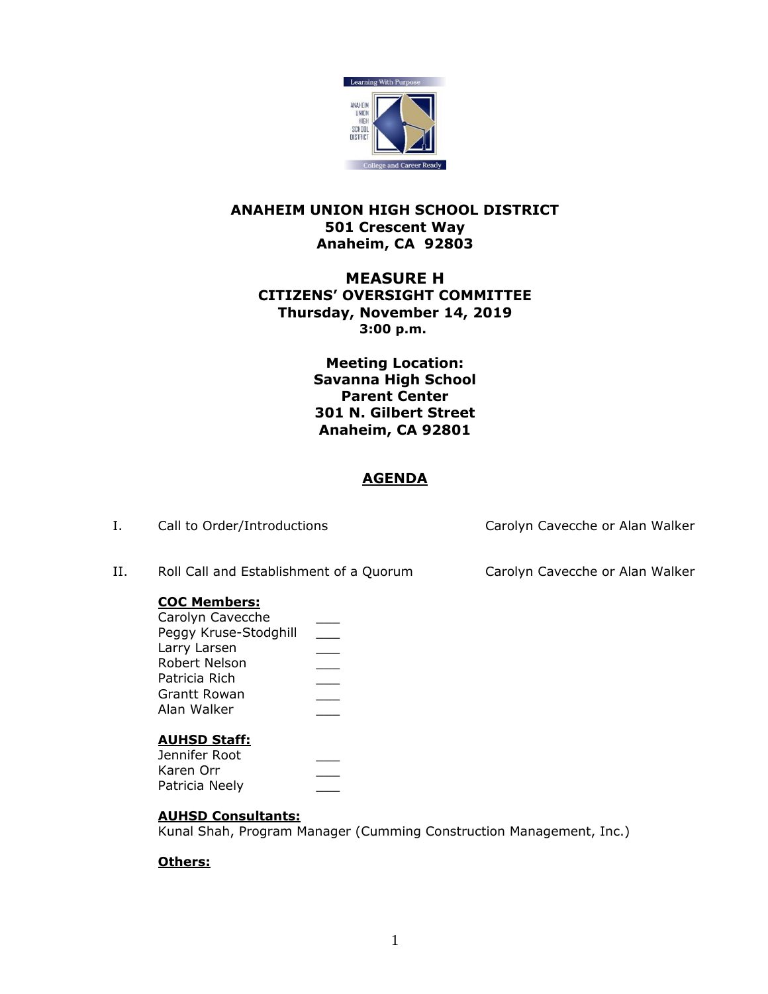

## **ANAHEIM UNION HIGH SCHOOL DISTRICT 501 Crescent Way Anaheim, CA 92803**

# **MEASURE H CITIZENS' OVERSIGHT COMMITTEE Thursday, November 14, 2019 6:00 p.m. 3:00 p.m.**

**Meeting Location: Savanna High School Parent Center 301 N. Gilbert Street Anaheim, CA 92801**

### **AGENDA**

| Ι. | Call to Order/Introductions                                                                                                                              |           | Carolyn Cavecche or Alan Walker |
|----|----------------------------------------------------------------------------------------------------------------------------------------------------------|-----------|---------------------------------|
| Н. | Roll Call and Establishment of a Quorum                                                                                                                  |           | Carolyn Cavecche or Alan Walker |
|    | <b>COC Members:</b><br>Carolyn Cavecche<br>Peggy Kruse-Stodghill<br>Larry Larsen<br>Robert Nelson<br>Patricia Rich<br><b>Grantt Rowan</b><br>Alan Walker | $\sim 10$ |                                 |
|    | <b>AUHSD Staff:</b><br>Jennifer Root<br>Karen Orr                                                                                                        |           |                                 |

### **AUHSD Consultants:**

Kunal Shah, Program Manager (Cumming Construction Management, Inc.)

### **Others:**

Patricia Neely